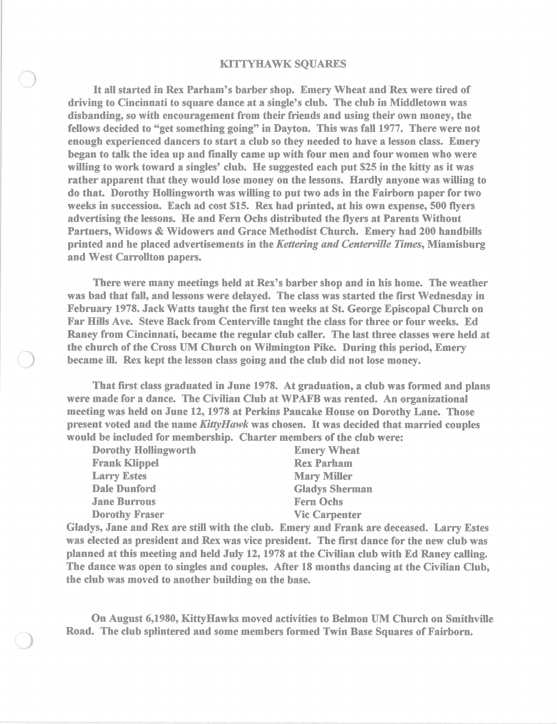## KITTYHAWK SQUARES

It all started in Rex Parbam's barber sbop. Emery Wbeat and Rex were tired of driving to Cincinnati to square dance at a single's club. The club in Middletown was disbanding, so witb encouragement from tbeir friends and using tbeir own money, the fellows decided to "get something going" in Dayton. This was fall 1977. There were not enough experienced dancers to start a club so they needed to have a lesson class. Emery began to talk the idea up and finally came up witb four men and four women who were willing to work toward a singles' club. He suggested each put S25 in the kitty as it was rather apparent tbat they would lose money on the lessons. Hardly anyone was willing to do tbat. Dorothy Hollingwortb was willing to put two ads in the Fairborn paper for two weeks in succession. Each ad cost S15. Rex bad printed, at bis own expense, 500 flyers advertising the lessons. He and Fern Ochs distributed the flyers at Parents Without Partners, Widows & Widowers and Grace Methodist Church. Emery had 200 handbills printed and be placed advertisements in the *Kettering and Centerville Times,* Miamisburg and West Carrollton papers.

Tbere were many meetings held at Rex's barber shop and in bis home. Tbe weather was bad that fall, and lessons were delayed. The class was started the first Wednesday in February 1978. Jack Watts taught the first ten weeks at St. George Episcopal Church on Far Hills Ave. Steve Back from Centerville taught the class for three or four weeks. Ed Raney from Cincinnati, became the regular club caller. The last three classes were held at the church of the Cross UM Church on Wilmington Pike. During this period, Emery became ill. Rex kept the lesson class going and the club did not lose money.

That first class graduated in June 1978. At graduation, a club was formed and plans were made for a dance. The Civilian Club at WPAFB was rented. An organizational meeting was held on June 12, 1978 at Perkins Pancake House on Dorotby Lane. Those present voted and tbe name *KittyHmvk* was chosen. It was decided that married couples would be included for membership. Charter members of the club were:

| <b>Dorothy Hollingworth</b> | <b>Emery Wheat</b>    |
|-----------------------------|-----------------------|
| <b>Frank Klippel</b>        | <b>Rex Parham</b>     |
| <b>Larry Estes</b>          | <b>Mary Miller</b>    |
| <b>Dale Dunford</b>         | <b>Gladys Sherman</b> |
| <b>Jane Burrous</b>         | Fern Ochs             |
| <b>Dorothy Fraser</b>       | <b>Vic Carpenter</b>  |

Gladys, Jane and Rex are still with tbe club. Emery and Frank are deceased. Larry Estes was elected as president and Rex was vice president. The first dance for the new club was planned at tbis meeting and held July 12, 1978 at tbe Civilian club with Ed Raney calling. The dance was open to singles and couples. After 18 montbs dancing at the Civilian Club, the club was moved to another building on the base.

On August 6,1980, KittyHawks moved activities to Belmon UM Church on Smitbville Road. The club splintered and some members formed Twin Base Squares of Fairborn.